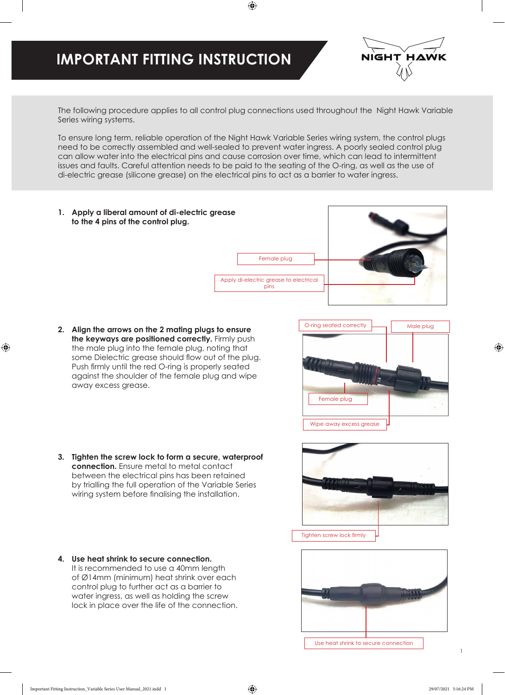## **IMPORTANT FITTING INSTRUCTION**



The following procedure applies to all control plug connections used throughout the Night Hawk Variable Series wiring systems.

To ensure long term, reliable operation of the Night Hawk Variable Series wiring system, the control plugs need to be correctly assembled and well-sealed to prevent water ingress. A poorly sealed control plug can allow water into the electrical pins and cause corrosion over time, which can lead to intermittent issues and faults. Careful attention needs to be paid to the seating of the O-ring, as well as the use of di-electric grease (silicone grease) on the electrical pins to act as a barrier to water ingress.

**1. Apply a liberal amount of di-electric grease to the 4 pins of the control plug.**



- **2. Align the arrows on the 2 mating plugs to ensure the keyways are positioned correctly.** Firmly push the male plug into the female plug, noting that some Dielectric grease should flow out of the plug. Push firmly until the red O-ring is properly seated against the shoulder of the female plug and wipe away excess grease.
- O-ring seated correctly Wipe away excess grease Male plug Female plug
- **3. Tighten the screw lock to form a secure, waterproof connection.** Ensure metal to metal contact between the electrical pins has been retained by trialling the full operation of the Variable Series wiring system before finalising the installation.
- **4. Use heat shrink to secure connection.** It is recommended to use a 40mm length of Ø14mm (minimum) heat shrink over each control plug to further act as a barrier to water ingress, as well as holding the screw lock in place over the life of the connection.





Use heat shrink to secure connection